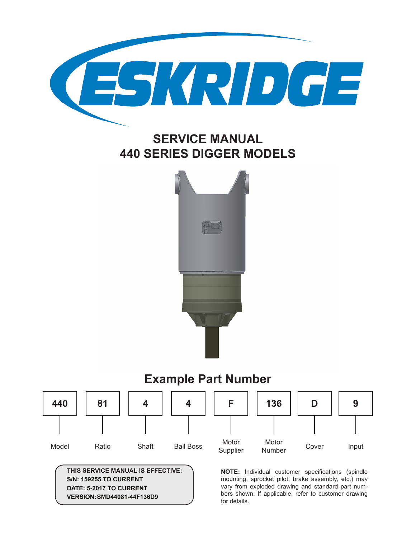

# **SERVICE MANUAL 440 SERIES DIGGER MODELS**



# **Example Part Number**



**THIS SERVICE MANUAL IS EFFECTIVE: S/N: 159255 TO CURRENT DATE: 5-2017 TO CURRENT VERSION:SMD44081-44F136D9**

**NOTE:** Individual customer specifications (spindle mounting, sprocket pilot, brake assembly, etc.) may vary from exploded drawing and standard part numbers shown. If applicable, refer to customer drawing for details.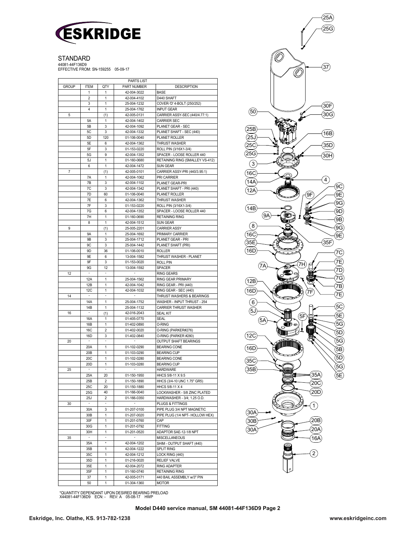

STANDARD

44081-44F136D9 EFFECTIVE FROM: SN-159255 05-09-17

| <b>GROUP</b> | <b>ITEM</b>              | QTY     | <b>PARTS LIST</b><br>PART NUMBER | <b>DESCRIPTION</b>                                   |
|--------------|--------------------------|---------|----------------------------------|------------------------------------------------------|
|              | 1                        | 1       | 42-004-3022                      | BASE                                                 |
|              | 2                        | 1       | 42-004-4102                      | D440 SHAFT                                           |
|              | 3                        | 1       | 25-004-1232                      | COVER-'D' 4-BOLT (250/252)                           |
|              | 4                        | 1       | 25-004-1762                      | <b>INPUT GEAR</b>                                    |
| 5            |                          | (1)     | 42-005-0131                      | CARRIER ASSY-SEC (440/4.77:1)                        |
|              | 5A                       | 1       | 42-004-1402                      | <b>CARRIER SEC</b>                                   |
|              | 5B                       | 3       | 42-004-1092                      | PLANET GEAR - SEC                                    |
|              | 5C                       | 3       | 42-004-1332                      | PLANET SHAFT - SEC (440)                             |
|              | 5 <sub>D</sub>           | 120     | 01-106-0040                      | PLANET ROLLER                                        |
|              | 5Е<br>5F                 | 6<br>3  | 42-004-1362                      | <b>THRUST WASHER</b><br>ROLL PIN (3/16X1-3/4)        |
|              | 5G                       | 9       | 01-153-0220<br>42-004-1352       | SPACER - LOOSE ROLLER 440                            |
|              | 5J                       | 1       | 01-160-0680                      | RETAINING RING (SMALLEY VS-412)                      |
|              | 6                        | 1       | 42-004-1472                      | <b>SUN GEAR</b>                                      |
| 7            |                          | (1)     | 42-005-0101                      | CARRIER ASSY-PRI (440/3.95:1)                        |
| 9            | 7A                       | 1       | 42-004-1062                      | PRI CARRIER                                          |
|              | 7B                       | 3       | 42-004-1102                      | PLANET GEAR-PRI                                      |
|              | 7C                       | 3       | 42-004-1342                      | PLANET SHAFT - PRI (440)                             |
|              | 7D                       | 60      | 01-106-0040                      | PLANET ROLLER                                        |
|              | 7E                       | 6       | 42-004-1362                      | <b>THRUST WASHER</b>                                 |
|              | 7F                       | 3       | 01-153-0220                      | ROLL PIN (3/16X1-3/4)                                |
|              | 7G                       | 6       | 42-004-1352                      | SPACER - LOOSE ROLLER 440                            |
|              | 7H                       | 1       | 01-160-0690                      | <b>RETAINING RING</b>                                |
|              | 8                        | 1       | 42-004-1512                      | <b>SUN GEAR</b>                                      |
|              |                          | (1)     | 25-005-2201                      | <b>CARRIER ASSY</b>                                  |
|              | 9A                       | 1       | 25-004-1692                      | PRIMARY CARRIER                                      |
|              | 9B                       | 3       | 25-004-1712                      | PLANET GEAR - PRI<br>PLANET SHAFT (PRI)              |
|              | 9C<br>9D                 | 3<br>36 | 25-004-1442<br>01-106-0010       | <b>ROLLER</b>                                        |
|              | 9E                       | 6       | 13-004-1582                      | THRUST WASHER - PLANET                               |
|              | 9F                       | 3       | 01-153-0020                      | <b>ROLL PIN</b>                                      |
|              | 9G                       | 12      | 13-004-1592                      | <b>SPACER</b>                                        |
| 12           | ÷,                       |         |                                  | <b>RING GEARS</b>                                    |
|              | 12A                      | 1       | 25-004-1562                      | <b>RING GEAR PRIMARY</b>                             |
|              | 12B                      | 1       | 42-004-1042                      | RING GEAR - PRI (440)                                |
|              | 12C                      | 1       | 42-004-1032                      | RING GEAR - SEC (440)                                |
| 14           |                          |         |                                  | THRUST WASHERS & BEARINGS                            |
|              | <b>14A</b>               | 1       | 25-004-1752                      | WASHER - INPUT THRUST - 254                          |
|              | 14B                      | 1       | 25-004-1132                      | <b>CARRIER THRUST WASHER</b>                         |
| 16           | $\overline{\phantom{a}}$ | (1)     | 42-016-2043                      | <b>SEAL KIT</b>                                      |
|              | 16A                      | 1       | 01-405-0770                      | SEAL                                                 |
|              | 16B                      | 1<br>2  | 01-402-0890                      | <b>O-RING</b>                                        |
|              | <b>16C</b><br>16D        | 3       | 01-402-0020<br>01-402-0840       | O-RING (PARKER#276)                                  |
| 20           | $\overline{\phantom{a}}$ | ×,      |                                  | O-RING (PARKER #280)<br><b>OUTPUT SHAFT BEARINGS</b> |
|              | 20A                      | 1       | 01-102-0290                      | <b>BEARING CONE</b>                                  |
|              | 20B                      | 1       | 01-103-0290                      | <b>BEARING CUP</b>                                   |
|              | 20C                      | 1       | 01-102-0280                      | <b>BEARING CONE</b>                                  |
|              | 20 <sub>D</sub>          | 1       | 01-103-0280                      | <b>BEARING CUP</b>                                   |
| 25<br>$30\,$ |                          |         |                                  | <b>HARDWARE</b>                                      |
|              | 25A                      | 20      | 01-150-1950                      | HHCS 5/8-11 X 9.5                                    |
|              | 25B                      | 2       | 01-150-1890                      | HHCS (3/4-10 UNC 1.75" GR5)                          |
|              | 25C                      | 20      | 01-150-1880                      | HHCS 5/8-11 X 4                                      |
|              | 25G                      | 40      | 01-166-0040                      | LOCKWASHER - 5/8 ZINC PLATED                         |
|              | 25J                      | 2       | 01-166-0350                      | HARDWASHER - 3/4; 1.25 O.D.                          |
|              | $\overline{\phantom{a}}$ | ۰       | $\overline{\phantom{a}}$         | PLUGS & FITTINGS                                     |
|              | 30A                      | 3       | 01-207-0100                      | PIPE PLUG 3/4 NPT MAGNETIC                           |
|              | 30B                      | 1       | 01-207-0020                      | PIPE PLUG (1/4 NPT- HOLLOW HEX)                      |
|              | 30F                      | 1       | 01-201-0760                      | CAP                                                  |
|              | 30G                      | 1       | 01-201-0792                      | <b>FITTING</b>                                       |
|              | 30H<br>$\sim$            | 1       | 01-201-0520                      | ADAPTOR SAE-12-1/8 NPT                               |
| 35           | 35A                      | $\star$ | 42-004-1202                      | MISCELLANEOUS<br>SHIM - OUTPUT SHAFT (440)           |
|              | 35B                      | 1       | 42-004-1222                      | SPLIT RING                                           |
|              | 35C                      | 1       | 42-004-1212                      | LOCK RING (440)                                      |
|              | 35D                      | 1       | 01-216-0020                      | <b>RELIEF VALVE</b>                                  |
|              | 35E                      | 1       | 42-004-2072                      | <b>RING ADAPTER</b>                                  |
|              | 35F                      | 1       | 01-160-0740                      | <b>RETAINING RING</b>                                |
|              | 37                       | 1       | 42-005-0171                      | 440 BAIL ASSEMBLY w/3" PIN                           |
|              | 50                       | 1       | 01-304-1360                      | MOTOR                                                |



\*QUANTITY DEPENDANT UPON DESIRED BEARING PRELOAD X44081-44F136D9 ECN: - REV: A 05-08-17 HWP

**Model D440 service manual, SM 44081-44F136D9 Page 2**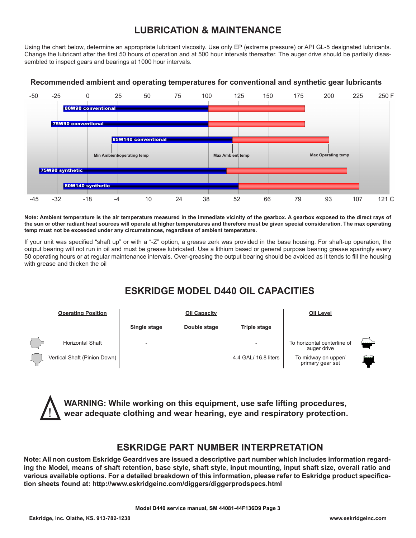### **LUBRICATION & MAINTENANCE**

Using the chart below, determine an appropriate lubricant viscosity. Use only EP (extreme pressure) or API GL-5 designated lubricants. Change the lubricant after the first 50 hours of operation and at 500 hour intervals thereafter. The auger drive should be partially disassembled to inspect gears and bearings at 1000 hour intervals.



#### **Recommended ambient and operating temperatures for conventional and synthetic gear lubricants**

**Note: Ambient temperature is the air temperature measured in the immediate vicinity of the gearbox. A gearbox exposed to the direct rays of the sun or other radiant heat sources will operate at higher temperatures and therefore must be given special consideration. The max operating temp must not be exceeded under any circumstances, regardless of ambient temperature.**

If your unit was specified "shaft up" or with a "-Z" option, a grease zerk was provided in the base housing. For shaft-up operation, the output bearing will not run in oil and must be grease lubricated. Use a lithium based or general purpose bearing grease sparingly every 50 operating hours or at regular maintenance intervals. Over-greasing the output bearing should be avoided as it tends to fill the housing with grease and thicken the oil

### **ESKRIDGE MODEL D440 OIL CAPACITIES**



**WARNING: While working on this equipment, use safe lifting procedures, wear adequate clothing and wear hearing, eye and respiratory protection.**

### **ESKRIDGE PART NUMBER INTERPRETATION**

**Note: All non custom Eskridge Geardrives are issued a descriptive part number which includes information regarding the Model, means of shaft retention, base style, shaft style, input mounting, input shaft size, overall ratio and various available options. For a detailed breakdown of this information, please refer to Eskridge product specification sheets found at: http://www.eskridgeinc.com/diggers/diggerprodspecs.html**

!<br>-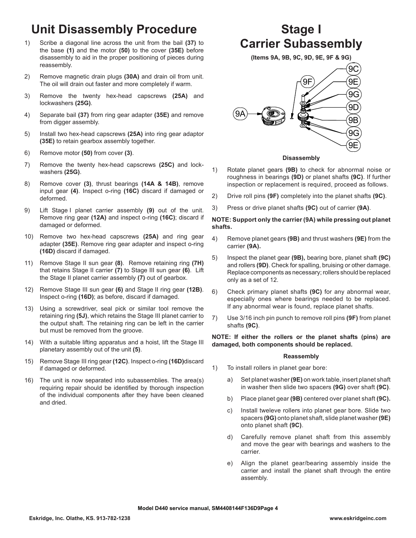# **Unit Disassembly Procedure**

- 1) Scribe a diagonal line across the unit from the bail **(37)** to the base **(1)** and the motor **(50)** to the cover **(35E)** before disassembly to aid in the proper positioning of pieces during reassembly.
- 2) Remove magnetic drain plugs **(30A)** and drain oil from unit. The oil will drain out faster and more completely if warm.
- 3) Remove the twenty hex-head capscrews **(25A)** and lockwashers **(25G)**.
- 4) Separate bail **(37)** from ring gear adapter **(35E)** and remove from digger assembly.
- 5) Install two hex-head capscrews **(25A)** into ring gear adaptor **(35E)** to retain gearbox assembly together.
- 6) Remove motor **(50)** from cover **(3)**.
- 7) Remove the twenty hex-head capscrews **(25C)** and lockwashers **(25G)**.
- 8) Remove cover **(3)**, thrust bearings **(14A & 14B)**, remove input gear **(4)**. Inspect o-ring **(16C)** discard if damaged or deformed.
- 9) Lift Stage I planet carrier assembly **(9)** out of the unit. Remove ring gear **(12A)** and inspect o-ring **(16C)**; discard if damaged or deformed.
- 10) Remove two hex-head capscrews **(25A)** and ring gear adapter **(35E)**. Remove ring gear adapter and inspect o-ring **(16D)** discard if damaged.
- 11) Remove Stage II sun gear **(8)**. Remove retaining ring **(7H)**  that retains Stage II carrier **(7)** to Stage III sun gear **(6)**. Lift the Stage II planet carrier assembly **(7)** out of gearbox.
- 12) Remove Stage III sun gear **(6)** and Stage II ring gear **(12B)**. Inspect o-ring **(16D)**; as before, discard if damaged.
- 13) Using a screwdriver, seal pick or similar tool remove the retaining ring **(5J)**, which retains the Stage III planet carrier to the output shaft. The retaining ring can be left in the carrier but must be removed from the groove.
- 14) With a suitable lifting apparatus and a hoist, lift the Stage III planetary assembly out of the unit **(5)**.
- 15) Remove Stage III ring gear **(12C)**. Inspect o-ring **(16D)**discard if damaged or deformed.
- 16) The unit is now separated into subassemblies. The area(s) requiring repair should be identified by thorough inspection of the individual components after they have been cleaned and dried.

# **Stage I Carrier Subassembly**

**(Items 9A, 9B, 9C, 9D, 9E, 9F & 9G)**  9F 9C 9E 9G



#### **Disassembly**

- 1) Rotate planet gears **(9B)** to check for abnormal noise or roughness in bearings **(9D)** or planet shafts **(9C)**. If further inspection or replacement is required, proceed as follows.
- 2) Drive roll pins **(9F)** completely into the planet shafts **(9C)**.
- 3) Press or drive planet shafts **(9C)** out of carrier **(9A)**.

#### **NOTE: Support only the carrier (9A) while pressing out planet shafts.**

- 4) Remove planet gears **(9B)** and thrust washers **(9E)** from the carrier **(9A).**
- 5) Inspect the planet gear **(9B),** bearing bore, planet shaft **(9C)** and rollers **(9D)**. Check for spalling, bruising or other damage. Replace components as necessary; rollers should be replaced only as a set of 12.
- 6) Check primary planet shafts **(9C)** for any abnormal wear, especially ones where bearings needed to be replaced. If any abnormal wear is found, replace planet shafts.
- 7) Use 3/16 inch pin punch to remove roll pins **(9F)** from planet shafts **(9C)**.

**NOTE: If either the rollers or the planet shafts (pins) are damaged, both components should be replaced.**

#### **Reassembly**

- 1) To install rollers in planet gear bore:
	- a) Set planet washer **(9E)** on work table, insert planet shaft in washer then slide two spacers **(9G)** over shaft **(9C)**.
	- b) Place planet gear **(9B)** centered over planet shaft **(9C).**
	- c) Install tweleve rollers into planet gear bore. Slide two spacers **(9G)** onto planet shaft, slide planet washer **(9E)** onto planet shaft **(9C)**.
	- d) Carefully remove planet shaft from this assembly and move the gear with bearings and washers to the carrier.
	- e) Align the planet gear/bearing assembly inside the carrier and install the planet shaft through the entire assembly.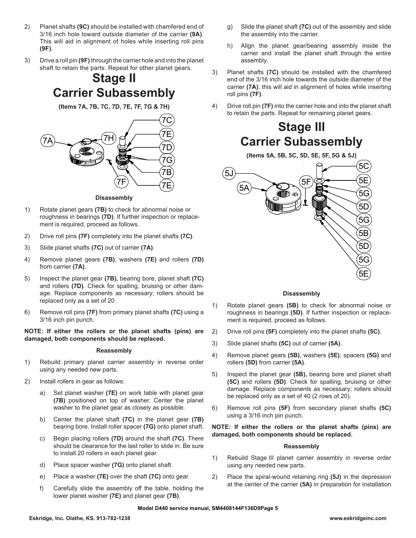- 2) Planet shafts **(9C)** should be installed with chamfered end of 3/16 inch hole toward outside diameter of the carrier **(9A)**. This will aid in alignment of holes while inserting roll pins **(9F)**.
- 3) Drive a roll pin **(9F)** through the carrier hole and into the planet shaft to retain the parts. Repeat for other planet gears.

## **Stage II Carrier Subassembly**

**(Items 7A, 7B, 7C, 7D, 7E, 7F, 7G & 7H)**



#### **Disassembly**

- 1) Rotate planet gears **(7B)** to check for abnormal noise or roughness in bearings **(7D)**. If further inspection or replacement is required, proceed as follows.
- 2) Drive roll pins **(7F)** completely into the planet shafts **(7C)**.
- 3) Slide planet shafts **(7C)** out of carrier **(7A)**.
- 4) Remove planet gears **(7B)**, washers **(7E)** and rollers **(7D)** from carrier **(7A)**.
- 5) Inspect the planet gear **(7B),** bearing bore, planet shaft **(7C)** and rollers **(7D)**. Check for spalling, bruising or other damage. Replace components as necessary; rollers should be replaced only as a set of 20.
- 6) Remove roll pins **(7F)** from primary planet shafts **(7C)** using a 3/16 inch pin punch.

**NOTE: If either the rollers or the planet shafts (pins) are damaged, both components should be replaced.**

#### **Reassembly**

- 1) Rebuild primary planet carrier assembly in reverse order using any needed new parts.
- 2) Install rollers in gear as follows:
	- a) Set planet washer **(7E)** on work table with planet gear **(7B)** positioned on top of washer. Center the planet washer to the planet gear as closely as possible.
	- b) Center the planet shaft **(7C)** in the planet gear **(7B)** bearing bore. Install roller spacer **(7G)** onto planet shaft.
	- c) Begin placing rollers **(7D)** around the shaft **(7C)**. There should be clearance for the last roller to slide in. Be sure to install 20 rollers in each planet gear.
	- d) Place spacer washer **(7G)** onto planet shaft.
	- e) Place a washer **(7E)** over the shaft **(7C)** onto gear.
	- f) Carefully slide the assembly off the table, holding the lower planet washer **(7E)** and planet gear **(7B)**.
- g) Slide the planet shaft **(7C)** out of the assembly and slide the assembly into the carrier.
- h) Align the planet gear/bearing assembly inside the carrier and install the planet shaft through the entire assembly.
- 3) Planet shafts **(7C)** should be installed with the chamfered end of the 3/16 inch hole towards the outside diameter of the carrier **(7A)**; this will aid in alignment of holes while inserting roll pins **(7F)**.
- 4) Drive roll pin **(7F)** into the carrier hole and into the planet shaft to retain the parts. Repeat for remaining planet gears.

## **Stage III Carrier Subassembly**

**(Items 5A, 5B, 5C, 5D, 5E, 5F, 5G & 5J)**



#### **Disassembly**

- 1) Rotate planet gears **(5B)** to check for abnormal noise or roughness in bearings **(5D)**. If further inspection or replacement is required, proceed as follows.
- 2) Drive roll pins **(5F)** completely into the planet shafts **(5C)**.
- 3) Slide planet shafts **(5C)** out of carrier **(5A)**.
- 4) Remove planet gears **(5B)**, washers **(5E)**, spacers **(5G)** and rollers **(5D)** from carrier **(5A)**.
- 5) Inspect the planet gear **(5B),** bearing bore and planet shaft **(5C)** and rollers **(5D)**. Check for spalling, bruising or other damage. Replace components as necessary; rollers should be replaced only as a set of 40 (2 rows of 20).
- 6) Remove roll pins **(5F)** from secondary planet shafts **(5C)** using a 3/16 inch pin punch.

**NOTE: If either the rollers or the planet shafts (pins) are damaged, both components should be replaced.**

#### **Reassembly**

- 1) Rebuild Stage III planet carrier assembly in reverse order using any needed new parts.
- 2) Place the spiral-wound retaining ring **(5J)** in the depression at the center of the carrier **(5A)** in preparation for installation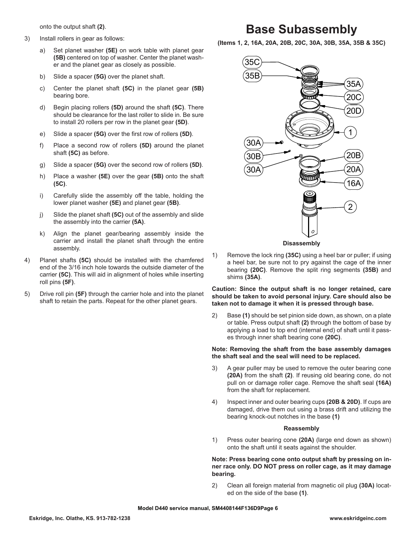onto the output shaft **(2)**.

- 3) Install rollers in gear as follows:
	- a) Set planet washer **(5E)** on work table with planet gear **(5B)** centered on top of washer. Center the planet washer and the planet gear as closely as possible.
	- b) Slide a spacer **(5G)** over the planet shaft.
	- c) Center the planet shaft **(5C)** in the planet gear **(5B)** bearing bore.
	- d) Begin placing rollers **(5D)** around the shaft **(5C)**. There should be clearance for the last roller to slide in. Be sure to install 20 rollers per row in the planet gear **(5D)**.
	- e) Slide a spacer **(5G)** over the first row of rollers **(5D)**.
	- f) Place a second row of rollers **(5D)** around the planet shaft **(5C)** as before.
	- g) Slide a spacer **(5G)** over the second row of rollers **(5D)**.
	- h) Place a washer **(5E)** over the gear **(5B)** onto the shaft **(5C)**.
	- i) Carefully slide the assembly off the table, holding the lower planet washer **(5E)** and planet gear **(5B)**.
	- j) Slide the planet shaft **(5C)** out of the assembly and slide the assembly into the carrier **(5A)**.
	- k) Align the planet gear/bearing assembly inside the carrier and install the planet shaft through the entire assembly.
- 4) Planet shafts **(5C)** should be installed with the chamfered end of the 3/16 inch hole towards the outside diameter of the carrier **(5C)**. This will aid in alignment of holes while inserting roll pins **(5F)**.
- 5) Drive roll pin **(5F)** through the carrier hole and into the planet shaft to retain the parts. Repeat for the other planet gears.

## **Base Subassembly**

**(Items 1, 2, 16A, 20A, 20B, 20C, 30A, 30B, 35A, 35B & 35C)**



**Disassembly**

1) Remove the lock ring **(35C)** using a heel bar or puller; if using a heel bar, be sure not to pry against the cage of the inner bearing **(20C)**. Remove the split ring segments **(35B)** and shims **(35A)**.

**Caution: Since the output shaft is no longer retained, care should be taken to avoid personal injury. Care should also be taken not to damage it when it is pressed through base.**

2) Base **(1)** should be set pinion side down, as shown, on a plate or table. Press output shaft **(2)** through the bottom of base by applying a load to top end (internal end) of shaft until it passes through inner shaft bearing cone **(20C)**.

#### **Note: Removing the shaft from the base assembly damages the shaft seal and the seal will need to be replaced.**

- 3) A gear puller may be used to remove the outer bearing cone **(20A)** from the shaft **(2)**. If reusing old bearing cone, do not pull on or damage roller cage. Remove the shaft seal **(16A)** from the shaft for replacement.
- 4) Inspect inner and outer bearing cups **(20B & 20D)**. If cups are damaged, drive them out using a brass drift and utilizing the bearing knock-out notches in the base **(1)**

#### **Reassembly**

1) Press outer bearing cone **(20A)** (large end down as shown) onto the shaft until it seats against the shoulder.

**Note: Press bearing cone onto output shaft by pressing on inner race only. DO NOT press on roller cage, as it may damage bearing.** 

2) Clean all foreign material from magnetic oil plug **(30A)** located on the side of the base **(1)**.